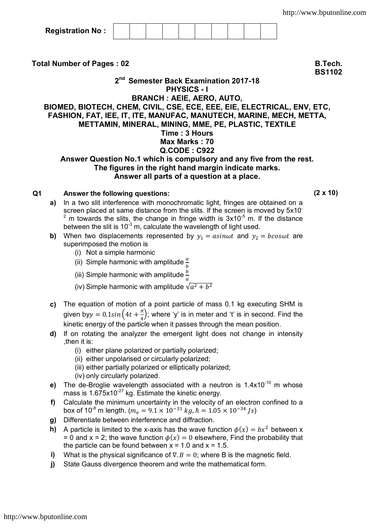| <b>Registration No:</b> |  |  |  |  |  |  |
|-------------------------|--|--|--|--|--|--|
|-------------------------|--|--|--|--|--|--|

**Total Number of Pages : 02 B.Tech.** 

**BS1102**

**2 nd Semester Back Examination 2017-18 PHYSICS - I BRANCH : AEIE, AERO, AUTO,** 

## **BIOMED, BIOTECH, CHEM, CIVIL, CSE, ECE, EEE, EIE, ELECTRICAL, ENV, ETC, FASHION, FAT, IEE, IT, ITE, MANUFAC, MANUTECH, MARINE, MECH, METTA, METTAMIN, MINERAL, MINING, MME, PE, PLASTIC, TEXTILE Time : 3 Hours Max Marks : 70 Q.CODE : C922 Answer Question No.1 which is compulsory and any five from the rest.**

## **The figures in the right hand margin indicate marks. Answer all parts of a question at a place.**

## **Q1 Answer the following questions: (2 x 10)**

- **a)** In a two slit interference with monochromatic light, fringes are obtained on a screen placed at same distance from the slits. If the screen is moved by 5x10<sup>-</sup>  $2 \text{ m}$  towards the slits, the change in fringe width is 3x10<sup>-5</sup> m. If the distance between the slit is  $10^{-3}$  m, calculate the wavelength of light used.
- **b)** When two displacements represented by  $y_1 =$  asinwt and  $y_2 =$  bcoswt are superimposed the motion is
	- (i) Not a simple harmonic
	- (ii) Simple harmonic with amplitude  $\frac{a}{b}$
	- (iii) Simple harmonic with amplitude  $\frac{b}{a}$
	- (iv) Simple harmonic with amplitude  $\sqrt{a^2 + b^2}$
- **c)** The equation of motion of a point particle of mass 0.1 kg executing SHM is given by $y = 0.1 sin(4t + \frac{\pi}{4})$  $\frac{\pi}{4}$ ); where 'y' is in meter and 't' is in second. Find the kinetic energy of the particle when it passes through the mean position.
- **d)** If on rotating the analyzer the emergent light does not change in intensity ,then it is:
	- (i) either plane polarized or partially polarized;
	- (ii) either unpolarised or circularly polarized;
	- (iii) either partially polarized or elliptically polarized;
	- (iv) only circularly polarized.
- **e)** The de-Broglie wavelength associated with a neutron is 1.4x10<sup>-10</sup> m whose mass is  $1.675x10^{-27}$  kg. Estimate the kinetic energy.
- **f)** Calculate the minimum uncertainty in the velocity of an electron confined to a box of 10<sup>-8</sup> m length. ( $m_e = 9.1 \times 10^{-31}$  kg,  $\hbar = 1.05 \times 10^{-34}$  /s)
- **g)** Differentiate between interference and diffraction.
- **h)** A particle is limited to the x-axis has the wave function  $\phi(x) = bx^2$  between x = 0 and x = 2; the wave function  $\phi(x) = 0$  elsewhere, Find the probability that the particle can be found between  $x = 1.0$  and  $x = 1.5$ .
- **i)** What is the physical significance of  $\nabla \cdot \mathbf{B} = 0$ ; where B is the magnetic field.
- **j)** State Gauss divergence theorem and write the mathematical form.